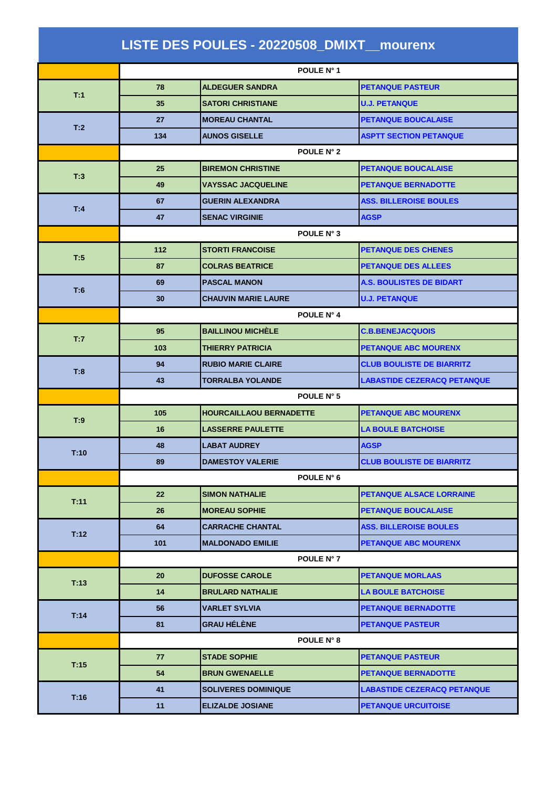|      |                   | LISTE DES POULES - 20220508_DMIXT_mourenx |                                    |
|------|-------------------|-------------------------------------------|------------------------------------|
|      |                   | POULE N° 1                                |                                    |
|      | 78                | <b>ALDEGUER SANDRA</b>                    | <b>PETANQUE PASTEUR</b>            |
| T:1  | 35                | <b>SATORI CHRISTIANE</b>                  | <b>U.J. PETANQUE</b>               |
|      | 27                | <b>MOREAU CHANTAL</b>                     | <b>PETANQUE BOUCALAISE</b>         |
| T:2  | 134               | <b>AUNOS GISELLE</b>                      | <b>ASPTT SECTION PETANQUE</b>      |
|      | POULE N° 2        |                                           |                                    |
|      | 25                | <b>BIREMON CHRISTINE</b>                  | <b>PETANQUE BOUCALAISE</b>         |
| T:3  | 49                | <b>VAYSSAC JACQUELINE</b>                 | <b>PETANQUE BERNADOTTE</b>         |
|      | 67                | <b>GUERIN ALEXANDRA</b>                   | <b>ASS. BILLEROISE BOULES</b>      |
| T:4  | 47                | <b>SENAC VIRGINIE</b>                     | <b>AGSP</b>                        |
|      |                   | POULE N° 3                                |                                    |
|      | 112               | <b>STORTI FRANCOISE</b>                   | <b>PETANQUE DES CHENES</b>         |
| T:5  | 87                | <b>COLRAS BEATRICE</b>                    | <b>PETANQUE DES ALLEES</b>         |
|      | 69                | <b>PASCAL MANON</b>                       | <b>A.S. BOULISTES DE BIDART</b>    |
| T:6  | 30                | <b>CHAUVIN MARIE LAURE</b>                | <b>U.J. PETANQUE</b>               |
|      | POULE N° 4        |                                           |                                    |
| T:7  | 95                | <b>BAILLINOU MICHÈLE</b>                  | <b>C.B.BENEJACQUOIS</b>            |
|      | 103               | <b>THIERRY PATRICIA</b>                   | <b>PETANQUE ABC MOURENX</b>        |
| T:8  | 94                | <b>RUBIO MARIE CLAIRE</b>                 | <b>CLUB BOULISTE DE BIARRITZ</b>   |
|      | 43                | <b>TORRALBA YOLANDE</b>                   | <b>LABASTIDE CEZERACQ PETANQUE</b> |
|      | POULE N° 5        |                                           |                                    |
| T:9  | 105               | <b>HOURCAILLAOU BERNADETTE</b>            | <b>PETANQUE ABC MOURENX</b>        |
|      | 16                | <b>LASSERRE PAULETTE</b>                  | <b>LA BOULE BATCHOISE</b>          |
| T:10 | 48                | <b>LABAT AUDREY</b>                       | <b>AGSP</b>                        |
|      | 89                | <b>DAMESTOY VALERIE</b>                   | <b>CLUB BOULISTE DE BIARRITZ</b>   |
|      |                   | POULE N° 6                                |                                    |
| T:11 | $22 \overline{ }$ | <b>SIMON NATHALIE</b>                     | <b>PETANQUE ALSACE LORRAINE</b>    |
|      | 26                | <b>MOREAU SOPHIE</b>                      | <b>PETANQUE BOUCALAISE</b>         |
| T:12 | 64                | <b>CARRACHE CHANTAL</b>                   | <b>ASS. BILLEROISE BOULES</b>      |
|      | 101               | <b>MALDONADO EMILIE</b>                   | <b>PETANQUE ABC MOURENX</b>        |
|      |                   | POULE N° 7                                |                                    |
| T:13 | 20                | <b>DUFOSSE CAROLE</b>                     | <b>PETANQUE MORLAAS</b>            |
|      | 14                | <b>BRULARD NATHALIE</b>                   | <b>LA BOULE BATCHOISE</b>          |
| T:14 | 56                | <b>VARLET SYLVIA</b>                      | <b>PETANQUE BERNADOTTE</b>         |
|      | 81                | <b>GRAU HÉLÈNE</b>                        | <b>PETANQUE PASTEUR</b>            |
|      |                   | POULE N° 8                                |                                    |
| T:15 | 77                | <b>STADE SOPHIE</b>                       | <b>PETANQUE PASTEUR</b>            |
|      | 54                | <b>BRUN GWENAELLE</b>                     | <b>PETANQUE BERNADOTTE</b>         |
| T:16 | 41                | <b>SOLIVERES DOMINIQUE</b>                | <b>LABASTIDE CEZERACQ PETANQUE</b> |
|      | 11                | <b>ELIZALDE JOSIANE</b>                   | <b>PETANQUE URCUITOISE</b>         |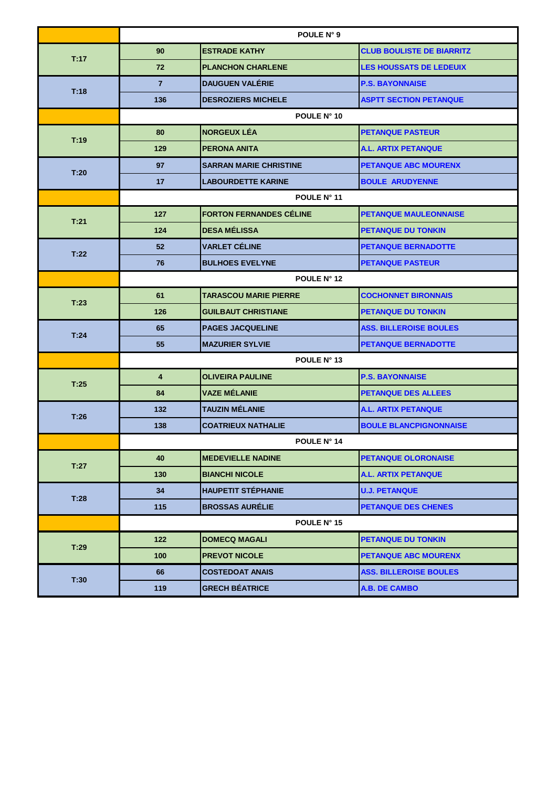|      | POULE N° 9              |                                |                                  |  |
|------|-------------------------|--------------------------------|----------------------------------|--|
| T:17 | 90                      | <b>ESTRADE KATHY</b>           | <b>CLUB BOULISTE DE BIARRITZ</b> |  |
|      | 72                      | <b>PLANCHON CHARLENE</b>       | <b>LES HOUSSATS DE LEDEUIX</b>   |  |
|      | $\overline{7}$          | <b>DAUGUEN VALÉRIE</b>         | <b>P.S. BAYONNAISE</b>           |  |
| T:18 | 136                     | <b>DESROZIERS MICHELE</b>      | <b>ASPTT SECTION PETANQUE</b>    |  |
|      |                         | POULE N° 10                    |                                  |  |
| T:19 | 80                      | <b>NORGEUX LÉA</b>             | <b>PETANQUE PASTEUR</b>          |  |
|      | 129                     | <b>PERONA ANITA</b>            | <b>A.L. ARTIX PETANQUE</b>       |  |
|      | 97                      | <b>SARRAN MARIE CHRISTINE</b>  | <b>PETANQUE ABC MOURENX</b>      |  |
| T:20 | 17                      | <b>LABOURDETTE KARINE</b>      | <b>BOULE ARUDYENNE</b>           |  |
|      |                         | POULE N° 11                    |                                  |  |
|      | 127                     | <b>FORTON FERNANDES CÉLINE</b> | <b>PETANQUE MAULEONNAISE</b>     |  |
| T:21 | 124                     | <b>DESA MÉLISSA</b>            | <b>PETANQUE DU TONKIN</b>        |  |
| T:22 | 52                      | <b>VARLET CÉLINE</b>           | <b>PETANQUE BERNADOTTE</b>       |  |
|      | 76                      | <b>BULHOES EVELYNE</b>         | <b>PETANQUE PASTEUR</b>          |  |
|      | POULE N° 12             |                                |                                  |  |
| T:23 | 61                      | <b>TARASCOU MARIE PIERRE</b>   | <b>COCHONNET BIRONNAIS</b>       |  |
|      | 126                     | <b>GUILBAUT CHRISTIANE</b>     | <b>PETANQUE DU TONKIN</b>        |  |
| T:24 | 65                      | <b>PAGES JACQUELINE</b>        | <b>ASS. BILLEROISE BOULES</b>    |  |
|      | 55                      | <b>MAZURIER SYLVIE</b>         | <b>PETANQUE BERNADOTTE</b>       |  |
|      | POULE N° 13             |                                |                                  |  |
| T:25 | $\overline{\mathbf{4}}$ | <b>OLIVEIRA PAULINE</b>        | <b>P.S. BAYONNAISE</b>           |  |
|      | 84                      | <b>VAZE MÉLANIE</b>            | <b>PETANQUE DES ALLEES</b>       |  |
| T:26 | 132                     | <b>TAUZIN MÉLANIE</b>          | <b>A.L. ARTIX PETANQUE</b>       |  |
|      | 138                     | <b>COATRIEUX NATHALIE</b>      | <b>BOULE BLANCPIGNONNAISE</b>    |  |
|      |                         | POULE N° 14                    |                                  |  |
| T:27 | 40                      | <b>MEDEVIELLE NADINE</b>       | <b>PETANQUE OLORONAISE</b>       |  |
|      | 130                     | <b>BIANCHI NICOLE</b>          | <b>A.L. ARTIX PETANQUE</b>       |  |
| T:28 | 34                      | <b>HAUPETIT STÉPHANIE</b>      | <b>U.J. PETANQUE</b>             |  |
|      | 115                     | <b>BROSSAS AURÉLIE</b>         | <b>PETANQUE DES CHENES</b>       |  |
|      |                         | POULE N° 15                    |                                  |  |
| T:29 | 122                     | <b>DOMECQ MAGALI</b>           | <b>PETANQUE DU TONKIN</b>        |  |
|      | 100                     | <b>PREVOT NICOLE</b>           | <b>PETANQUE ABC MOURENX</b>      |  |
| T:30 | 66                      | <b>COSTEDOAT ANAIS</b>         | <b>ASS. BILLEROISE BOULES</b>    |  |
|      | 119                     | <b>GRECH BÉATRICE</b>          | A.B. DE CAMBO                    |  |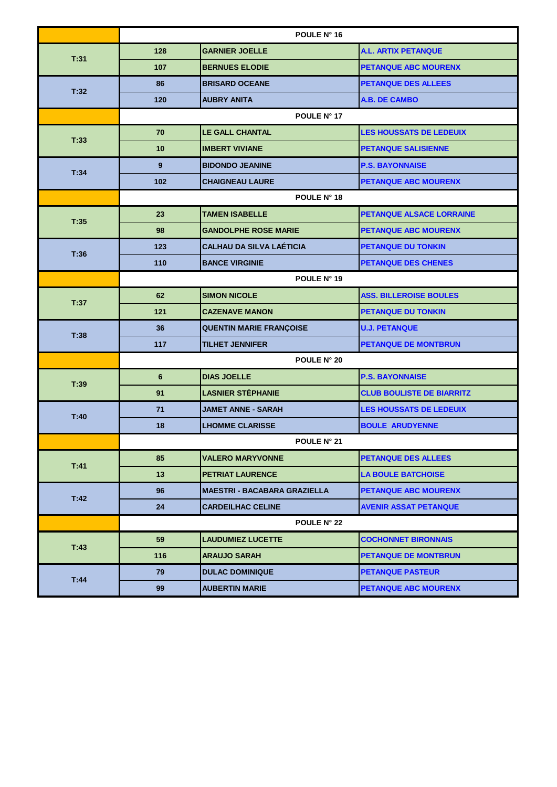|      | POULE N° 16    |                                     |                                  |  |
|------|----------------|-------------------------------------|----------------------------------|--|
| T:31 | 128            | <b>GARNIER JOELLE</b>               | <b>A.L. ARTIX PETANQUE</b>       |  |
|      | 107            | <b>BERNUES ELODIE</b>               | <b>PETANQUE ABC MOURENX</b>      |  |
| T:32 | 86             | <b>BRISARD OCEANE</b>               | <b>PETANQUE DES ALLEES</b>       |  |
|      | 120            | <b>AUBRY ANITA</b>                  | <b>A.B. DE CAMBO</b>             |  |
|      |                | POULE N° 17                         |                                  |  |
| T:33 | 70             | <b>LE GALL CHANTAL</b>              | <b>LES HOUSSATS DE LEDEUIX</b>   |  |
|      | 10             | <b>IMBERT VIVIANE</b>               | <b>PETANQUE SALISIENNE</b>       |  |
| T:34 | 9              | <b>BIDONDO JEANINE</b>              | <b>P.S. BAYONNAISE</b>           |  |
|      | 102            | <b>CHAIGNEAU LAURE</b>              | PETANQUE ABC MOURENX             |  |
|      |                | POULE N° 18                         |                                  |  |
| T:35 | 23             | <b>TAMEN ISABELLE</b>               | PETANQUE ALSACE LORRAINE         |  |
|      | 98             | <b>GANDOLPHE ROSE MARIE</b>         | <b>PETANQUE ABC MOURENX</b>      |  |
| T:36 | 123            | <b>CALHAU DA SILVA LAÉTICIA</b>     | <b>PETANQUE DU TONKIN</b>        |  |
|      | 110            | <b>BANCE VIRGINIE</b>               | <b>PETANQUE DES CHENES</b>       |  |
|      | POULE N° 19    |                                     |                                  |  |
| T:37 | 62             | <b>SIMON NICOLE</b>                 | <b>ASS. BILLEROISE BOULES</b>    |  |
|      | 121            | <b>CAZENAVE MANON</b>               | <b>PETANQUE DU TONKIN</b>        |  |
| T:38 | 36             | <b>QUENTIN MARIE FRANÇOISE</b>      | <b>U.J. PETANQUE</b>             |  |
|      | 117            | <b>TILHET JENNIFER</b>              | <b>PETANQUE DE MONTBRUN</b>      |  |
|      | POULE N° 20    |                                     |                                  |  |
| T:39 | $6\phantom{1}$ | <b>DIAS JOELLE</b>                  | <b>P.S. BAYONNAISE</b>           |  |
|      | 91             | <b>LASNIER STÉPHANIE</b>            | <b>CLUB BOULISTE DE BIARRITZ</b> |  |
| T:40 | 71             | <b>JAMET ANNE - SARAH</b>           | <b>LES HOUSSATS DE LEDEUIX</b>   |  |
|      | 18             | <b>LHOMME CLARISSE</b>              | <b>BOULE ARUDYENNE</b>           |  |
|      |                | <b>POULE N° 21</b>                  |                                  |  |
| T:41 | 85             | <b>VALERO MARYVONNE</b>             | <b>PETANQUE DES ALLEES</b>       |  |
|      | 13             | <b>PETRIAT LAURENCE</b>             | <b>LA BOULE BATCHOISE</b>        |  |
| T.42 | 96             | <b>MAESTRI - BACABARA GRAZIELLA</b> | <b>PETANQUE ABC MOURENX</b>      |  |
|      | 24             | <b>CARDEILHAC CELINE</b>            | <b>AVENIR ASSAT PETANQUE</b>     |  |
|      |                | <b>POULE N° 22</b>                  |                                  |  |
| T:43 | 59             | <b>LAUDUMIEZ LUCETTE</b>            | <b>COCHONNET BIRONNAIS</b>       |  |
|      | 116            | <b>ARAUJO SARAH</b>                 | <b>PETANQUE DE MONTBRUN</b>      |  |
| T:44 | 79             | <b>DULAC DOMINIQUE</b>              | <b>PETANQUE PASTEUR</b>          |  |
|      | 99             | <b>AUBERTIN MARIE</b>               | <b>PETANQUE ABC MOURENX</b>      |  |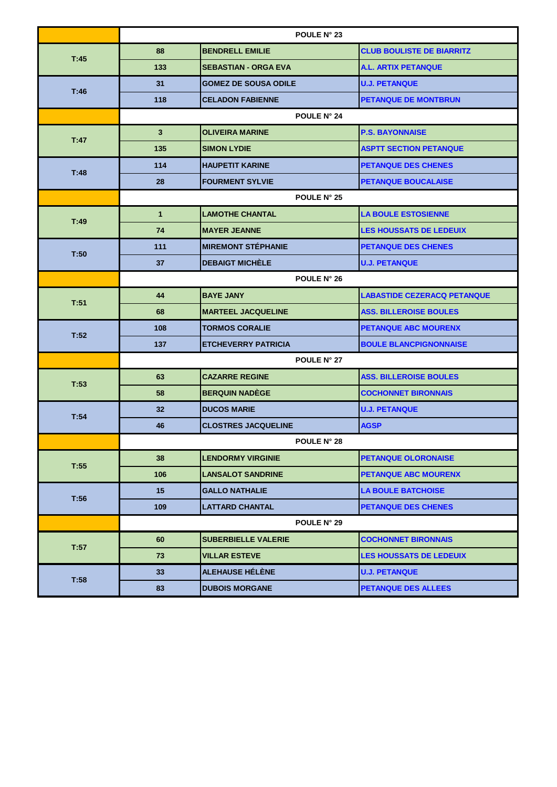|      | POULE N° 23  |                             |                                    |  |
|------|--------------|-----------------------------|------------------------------------|--|
| T:45 | 88           | <b>BENDRELL EMILIE</b>      | <b>CLUB BOULISTE DE BIARRITZ</b>   |  |
|      | 133          | <b>SEBASTIAN - ORGA EVA</b> | <b>A.L. ARTIX PETANQUE</b>         |  |
|      | 31           | <b>GOMEZ DE SOUSA ODILE</b> | <b>U.J. PETANQUE</b>               |  |
| T.46 | 118          | <b>CELADON FABIENNE</b>     | <b>PETANQUE DE MONTBRUN</b>        |  |
|      |              | <b>POULE N° 24</b>          |                                    |  |
| T:47 | $\mathbf{3}$ | <b>OLIVEIRA MARINE</b>      | <b>P.S. BAYONNAISE</b>             |  |
|      | 135          | <b>SIMON LYDIE</b>          | <b>ASPTT SECTION PETANQUE</b>      |  |
| T.48 | 114          | <b>HAUPETIT KARINE</b>      | <b>PETANQUE DES CHENES</b>         |  |
|      | 28           | <b>FOURMENT SYLVIE</b>      | <b>PETANQUE BOUCALAISE</b>         |  |
|      |              | <b>POULE N° 25</b>          |                                    |  |
| T:49 | $\mathbf{1}$ | <b>LAMOTHE CHANTAL</b>      | <b>LA BOULE ESTOSIENNE</b>         |  |
|      | 74           | <b>MAYER JEANNE</b>         | <b>LES HOUSSATS DE LEDEUIX</b>     |  |
| T:50 | 111          | <b>MIREMONT STÉPHANIE</b>   | <b>PETANQUE DES CHENES</b>         |  |
|      | 37           | <b>DEBAIGT MICHÈLE</b>      | <b>U.J. PETANQUE</b>               |  |
|      | POULE N° 26  |                             |                                    |  |
| T:51 | 44           | <b>BAYE JANY</b>            | <b>LABASTIDE CEZERACQ PETANQUE</b> |  |
|      | 68           | <b>MARTEEL JACQUELINE</b>   | <b>ASS. BILLEROISE BOULES</b>      |  |
| T:52 | 108          | <b>TORMOS CORALIE</b>       | <b>PETANQUE ABC MOURENX</b>        |  |
|      | 137          | <b>ETCHEVERRY PATRICIA</b>  | <b>BOULE BLANCPIGNONNAISE</b>      |  |
|      | POULE N° 27  |                             |                                    |  |
| T:53 | 63           | <b>CAZARRE REGINE</b>       | <b>ASS. BILLEROISE BOULES</b>      |  |
|      | 58           | <b>BERQUIN NADÈGE</b>       | <b>COCHONNET BIRONNAIS</b>         |  |
| T:54 | 32           | <b>DUCOS MARIE</b>          | <b>U.J. PETANQUE</b>               |  |
|      | 46           | <b>CLOSTRES JACQUELINE</b>  | <b>AGSP</b>                        |  |
|      |              | <b>POULE N° 28</b>          |                                    |  |
| T:55 | 38           | <b>LENDORMY VIRGINIE</b>    | <b>PETANQUE OLORONAISE</b>         |  |
|      | 106          | <b>LANSALOT SANDRINE</b>    | <b>PETANQUE ABC MOURENX</b>        |  |
| T:56 | 15           | <b>GALLO NATHALIE</b>       | <b>LA BOULE BATCHOISE</b>          |  |
|      | 109          | <b>LATTARD CHANTAL</b>      | <b>PETANQUE DES CHENES</b>         |  |
|      |              | <b>POULE N° 29</b>          |                                    |  |
| T:57 | 60           | <b>SUBERBIELLE VALERIE</b>  | <b>COCHONNET BIRONNAIS</b>         |  |
|      | 73           | <b>VILLAR ESTEVE</b>        | <b>LES HOUSSATS DE LEDEUIX</b>     |  |
| T:58 | 33           | <b>ALEHAUSE HÉLÈNE</b>      | <b>U.J. PETANQUE</b>               |  |
|      | 83           | <b>DUBOIS MORGANE</b>       | <b>PETANQUE DES ALLEES</b>         |  |